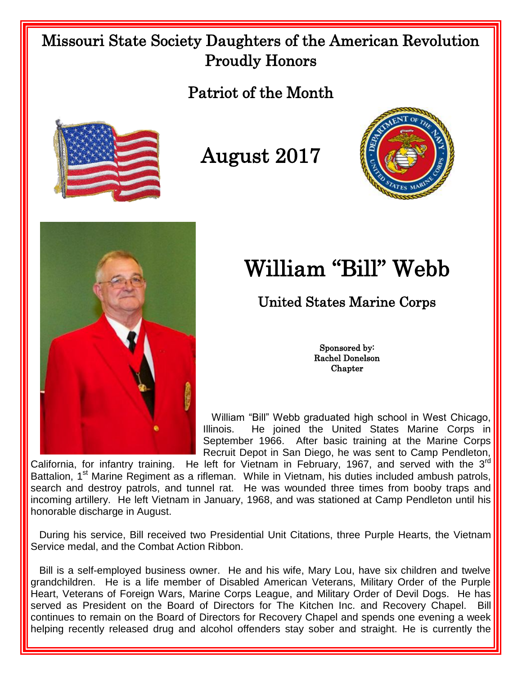## Missouri State Society Daughters of the American Revolution Proudly Honors

## Patriot of the Month



August 2017





## William "Bill" Webb

United States Marine Corps

Sponsored by: Rachel Donelson **Chapter** 

 William "Bill" Webb graduated high school in West Chicago, Illinois. He joined the United States Marine Corps in September 1966. After basic training at the Marine Corps Recruit Depot in San Diego, he was sent to Camp Pendleton,

California, for infantry training. He left for Vietnam in February, 1967, and served with the  $3<sup>rd</sup>$ Battalion, 1<sup>st</sup> Marine Regiment as a rifleman. While in Vietnam, his duties included ambush patrols, search and destroy patrols, and tunnel rat. He was wounded three times from booby traps and incoming artillery. He left Vietnam in January, 1968, and was stationed at Camp Pendleton until his honorable discharge in August.

 During his service, Bill received two Presidential Unit Citations, three Purple Hearts, the Vietnam Service medal, and the Combat Action Ribbon.

Bill is a self-employed business owner. He and his wife, Mary Lou, have six children and twelve grandchildren. He is a life member of Disabled American Veterans, Military Order of the Purple Heart, Veterans of Foreign Wars, Marine Corps League, and Military Order of Devil Dogs. He has served as President on the Board of Directors for The Kitchen Inc. and Recovery Chapel. Bill continues to remain on the Board of Directors for Recovery Chapel and spends one evening a week helping recently released drug and alcohol offenders stay sober and straight. He is currently the